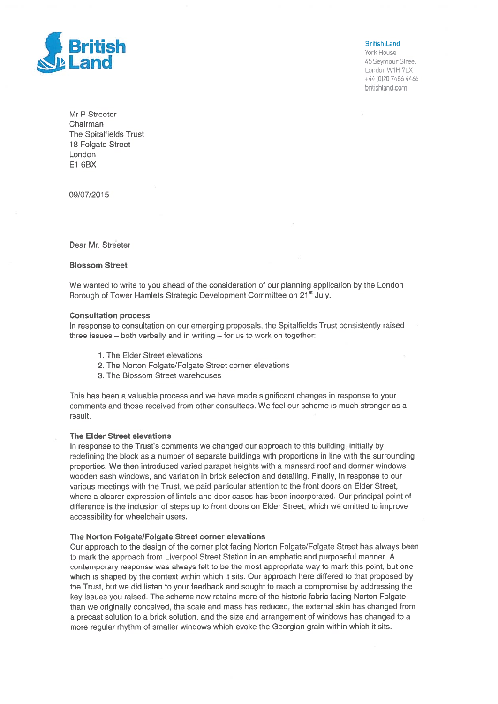

45 Seymour Street London W1H 7LX +44 (0)20 7486 4466 britishland.com

Mr P Streeter Chairman The Spitalfields Trust 18 Folgate Street London El 6BX

09/07/2015

Dear Mr. Streeter

### Blossom Street

We wanted to write to you ahead of the consideration of our planning application by the London Borough of Tower Hamlets Strategic Development Committee on 21<sup>st</sup> July.

### Consultation process

In response to consultation on our emerging proposals, the Spitalfields Trust consistently raised three issues — both verbally and in writing — for us to work on together:

- 1. The Elder Street elevations
- 2. The Norton Folgate/Folgate Street corner elevations
- 3. The Blossom Street warehouses

This has been <sup>a</sup> valuable process and we have made significant changes in response to your comments and those received from other consultees. We feel our scheme is much stronger as <sup>a</sup> result.

# The Elder Street elevations

In response to the Trust's comments we changed our approach to this building, initially by redefining the block as <sup>a</sup> number of separate buildings with proportions in line with the surrounding properties. We then introduced varied parape<sup>t</sup> heights with <sup>a</sup> mansard roof and dormer windows, wooden sash windows, and variation in brick selection and detailing. Finally, in response to our various meetings with the Trust, we paid particular attention to the front doors on Elder Street, where <sup>a</sup> clearer expression of lintels and door cases has been incorporated. Our principal point of difference is the inclusion of steps up to front doors on Elder Street, which we omitted to improve accessibility for wheelchair users.

## The Norton Folgate/Folgate Street corner elevations

Our approach to the design of the corner plot facing Norton Folgate/Folgate Street has always been to mark the approach from Liverpool Street Station in an emphatic and purposeful manner. A contemporary response was always felt to be the most appropriate way to mark this point, but one which is shaped by the context within which it sits. Our approach here differed to that proposed by the Trust, but we did listen to your feedback and sought to reach <sup>a</sup> compromise by addressing the key issues you raised. The scheme now retains more of the historic fabric facing Norton Folgate than we originally conceived, the scale and mass has reduced, the external skin has changed from <sup>a</sup> precas<sup>t</sup> solution to <sup>a</sup> brick solution, and the size and arrangemen<sup>t</sup> of windows has changed to <sup>a</sup> more regular rhythm of smaller windows which evoke the Georgian grain within which it sits.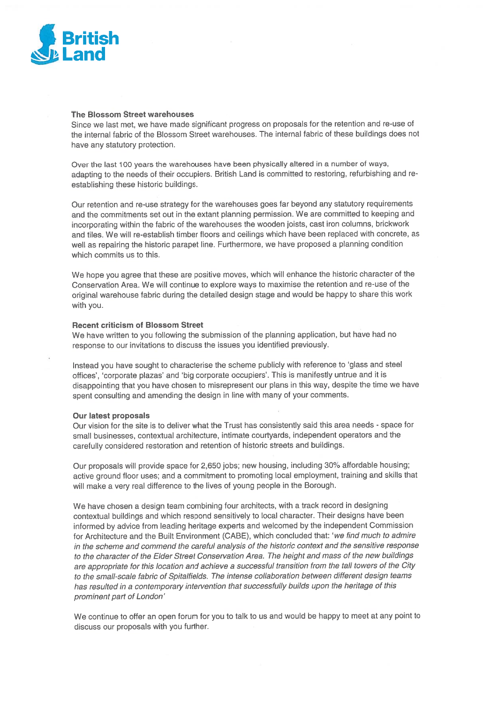

## The Blossom Street warehouses

Since we last met, we have made significant progress on proposals for the retention and re-use of the internal fabric of the Blossom Street warehouses. The internal fabric of these buildings does not have any statutory protection.

Over the last <sup>100</sup> years the warehouses have been <sup>p</sup>hysically altered in <sup>a</sup> number of ways, adapting to the needs of their occupiers. British Land is committed to restoring, refurbishing and reestablishing these historic buildings.

Our retention and re-use strategy for the warehouses goes far beyond any statutory requirements and the commitments set out in the extant planning permission. We are committed to keeping and incorporating within the fabric of the warehouses the wooden joists, cast iron columns, brickwork and tiles. We will re-establish timber floors and ceilings which have been replaced with concrete, as well as repairing the historic parape<sup>t</sup> line. Furthermore, we have propose<sup>d</sup> <sup>a</sup> <sup>p</sup>lanning condition which commits us to this.

We hope you agree that these are positive moves, which will enhance the historic character of the Conservation Area. We will continue to explore ways to maximise the retention and re-use of the original warehouse fabric during the detailed design stage and would be happy to share this work with you.

# Recent criticism of Blossom Street

We have written to you following the submission of the <sup>p</sup>lanning application, but have had no response to our invitations to discuss the issues you identified previously.

Instead you have sought to characterise the scheme publicly with reference to 'glass and steel offices', 'corporate <sup>p</sup>lazas' and 'big corporate occupiers'. This is manifestly untrue and it is disappointing that you have chosen to misrepresent our <sup>p</sup>lans in this way, despite the time we have spen<sup>t</sup> consulting and amending the design in line with many of your comments.

## Our latest proposals

Our vision for the site is to deliver what the Trust has consistently said this area needs - space for small businesses, contextual architecture, intimate courtyards, independent operators and the carefully considered restoration and retention of historic streets and buildings.

Our proposals will provide space for 2,650 jobs; new housing, including 30% affordable housing; active groun<sup>d</sup> floor uses; and <sup>a</sup> commitment to promoting local employment, training and skills that will make <sup>a</sup> very real difference to the lives of young people in the Borough.

We have chosen <sup>a</sup> design team combining four architects, with <sup>a</sup> track record in designing contextual buildings and which respon<sup>d</sup> sensitively to local character. Their designs have been informed by advice from leading heritage experts and welcomed by the independent Commission for Architecture and the Built Environment (CABE), which concluded that: 'we find much to admire in the scheme and commend the careful analysis of the historic context and the sensitive response to the character of the Elder Street Conservation Area. The height and mass of the new buildings are appropriate for this location and achieve <sup>a</sup> successful transition from the tall towers of the City to the small-scale fabric of Spitalfields. The intense collaboration between different design teams has resulted in a contemporary intervention that successfully builds upon the heritage of this prominent par<sup>t</sup> of London'

We continue to offer an open forum for you to talk to us and would be happy to meet at any point to discuss our proposals with you further.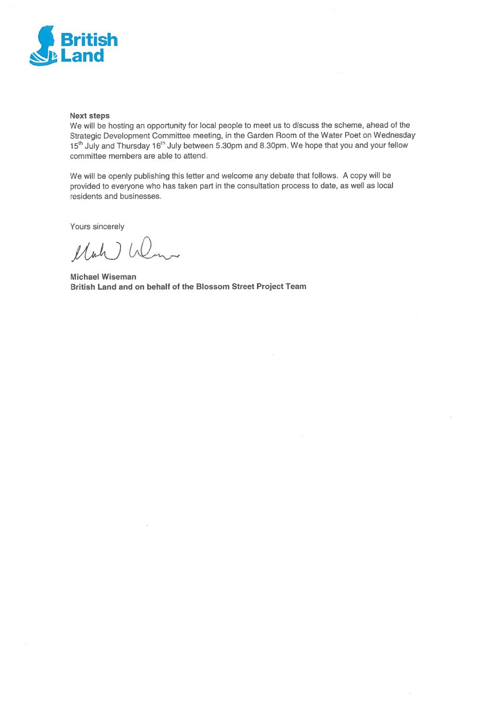

# Next steps

We will be hosting an opportunity for local people to meet us to discuss the scheme, ahead of the Strategic Development Committee meeting, in the Garden Room of the Water Poet on Wednesday 15th July and Thursday 16th July between 530pm and 830pm. We hope that you and your fellow committee members are able to attend.

We will be openly publishing this letter and welcome any debate that follows. <sup>A</sup> copy will be provided to everyone who has taken par<sup>t</sup> in the consultation process to date, as well as local residents and businesses.

Yours sincerely

Mah Wenn

Michael Wiseman British Land and on behalf of the Blossom Street Project Team